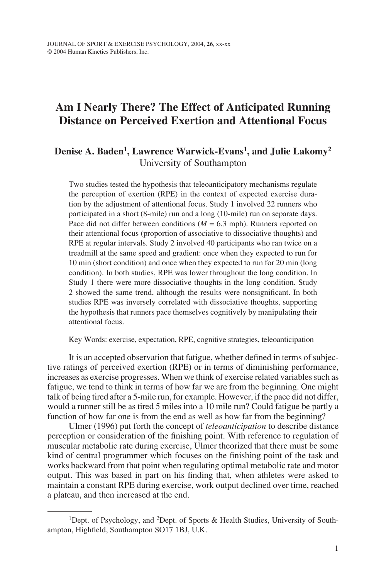# **Am I Nearly There? The Effect of Anticipated Running Distance on Perceived Exertion and Attentional Focus**

# **Denise A. Baden1, Lawrence Warwick-Evans1, and Julie Lakomy2** University of Southampton

Two studies tested the hypothesis that teleoanticipatory mechanisms regulate the perception of exertion (RPE) in the context of expected exercise duration by the adjustment of attentional focus. Study 1 involved 22 runners who participated in a short (8-mile) run and a long (10-mile) run on separate days. Pace did not differ between conditions  $(M = 6.3 \text{ mph})$ . Runners reported on their attentional focus (proportion of associative to dissociative thoughts) and RPE at regular intervals. Study 2 involved 40 participants who ran twice on a treadmill at the same speed and gradient: once when they expected to run for 10 min (short condition) and once when they expected to run for 20 min (long condition). In both studies, RPE was lower throughout the long condition. In Study 1 there were more dissociative thoughts in the long condition. Study 2 showed the same trend, although the results were nonsignificant. In both studies RPE was inversely correlated with dissociative thoughts, supporting the hypothesis that runners pace themselves cognitively by manipulating their attentional focus.

Key Words: exercise, expectation, RPE, cognitive strategies, teleoanticipation

It is an accepted observation that fatigue, whether defined in terms of subjective ratings of perceived exertion (RPE) or in terms of diminishing performance, increases as exercise progresses. When we think of exercise related variables such as fatigue, we tend to think in terms of how far we are from the beginning. One might talk of being tired after a 5-mile run, for example. However, if the pace did not differ, would a runner still be as tired 5 miles into a 10 mile run? Could fatigue be partly a function of how far one is from the end as well as how far from the beginning?

Ulmer (1996) put forth the concept of *teleoanticipation* to describe distance perception or consideration of the finishing point. With reference to regulation of muscular metabolic rate during exercise, Ulmer theorized that there must be some kind of central programmer which focuses on the finishing point of the task and works backward from that point when regulating optimal metabolic rate and motor output. This was based in part on his finding that, when athletes were asked to maintain a constant RPE during exercise, work output declined over time, reached a plateau, and then increased at the end.

<sup>&</sup>lt;sup>1</sup>Dept. of Psychology, and <sup>2</sup>Dept. of Sports & Health Studies, University of Southampton, Highfield, Southampton SO17 1BJ, U.K.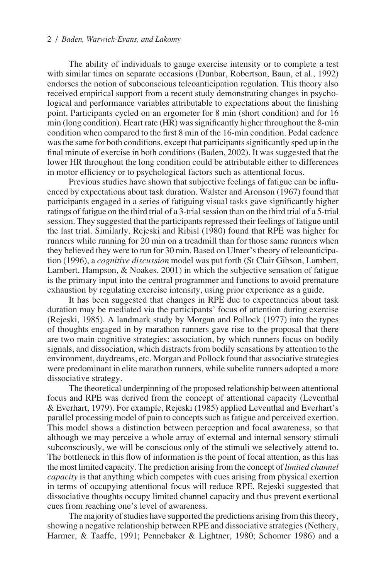#### 2 / *Baden, Warwick-Evans, and Lakomy*

The ability of individuals to gauge exercise intensity or to complete a test with similar times on separate occasions (Dunbar, Robertson, Baun, et al., 1992) endorses the notion of subconscious teleoanticipation regulation. This theory also received empirical support from a recent study demonstrating changes in psychological and performance variables attributable to expectations about the finishing point. Participants cycled on an ergometer for 8 min (short condition) and for 16 min (long condition). Heart rate (HR) was significantly higher throughout the 8-min condition when compared to the first 8 min of the 16-min condition. Pedal cadence was the same for both conditions, except that participants significantly sped up in the final minute of exercise in both conditions (Baden, 2002). It was suggested that the lower HR throughout the long condition could be attributable either to differences in motor efficiency or to psychological factors such as attentional focus.

Previous studies have shown that subjective feelings of fatigue can be influenced by expectations about task duration. Walster and Aronson (1967) found that participants engaged in a series of fatiguing visual tasks gave significantly higher ratings of fatigue on the third trial of a 3-trial session than on the third trial of a 5-trial session. They suggested that the participants repressed their feelings of fatigue until the last trial. Similarly, Rejeski and Ribisl (1980) found that RPE was higher for runners while running for 20 min on a treadmill than for those same runners when they believed they were to run for 30 min. Based on Ulmer's theory of teleoanticipation (1996), a *cognitive discussion* model was put forth (St Clair Gibson, Lambert, Lambert, Hampson, & Noakes, 2001) in which the subjective sensation of fatigue is the primary input into the central programmer and functions to avoid premature exhaustion by regulating exercise intensity, using prior experience as a guide.

It has been suggested that changes in RPE due to expectancies about task duration may be mediated via the participants' focus of attention during exercise (Rejeski, 1985). A landmark study by Morgan and Pollock (1977) into the types of thoughts engaged in by marathon runners gave rise to the proposal that there are two main cognitive strategies: association, by which runners focus on bodily signals, and dissociation, which distracts from bodily sensations by attention to the environment, daydreams, etc. Morgan and Pollock found that associative strategies were predominant in elite marathon runners, while subelite runners adopted a more dissociative strategy.

The theoretical underpinning of the proposed relationship between attentional focus and RPE was derived from the concept of attentional capacity (Leventhal & Everhart, 1979). For example, Rejeski (1985) applied Leventhal and Everhart's parallel processing model of pain to concepts such as fatigue and perceived exertion. This model shows a distinction between perception and focal awareness, so that although we may perceive a whole array of external and internal sensory stimuli subconsciously, we will be conscious only of the stimuli we selectively attend to. The bottleneck in this flow of information is the point of focal attention, as this has the most limited capacity. The prediction arising from the concept of *limited channel capacity* is that anything which competes with cues arising from physical exertion in terms of occupying attentional focus will reduce RPE. Rejeski suggested that dissociative thoughts occupy limited channel capacity and thus prevent exertional cues from reaching one's level of awareness.

The majority of studies have supported the predictions arising from this theory, showing a negative relationship between RPE and dissociative strategies (Nethery, Harmer, & Taaffe, 1991; Pennebaker & Lightner, 1980; Schomer 1986) and a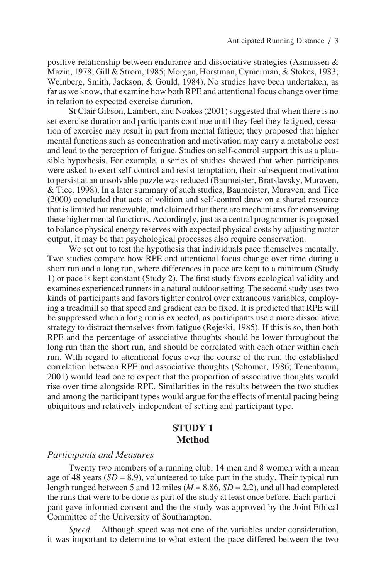positive relationship between endurance and dissociative strategies (Asmussen & Mazin, 1978; Gill & Strom, 1985; Morgan, Horstman, Cymerman, & Stokes, 1983; Weinberg, Smith, Jackson, & Gould, 1984). No studies have been undertaken, as far as we know, that examine how both RPE and attentional focus change over time in relation to expected exercise duration.

St Clair Gibson, Lambert, and Noakes (2001) suggested that when there is no set exercise duration and participants continue until they feel they fatigued, cessation of exercise may result in part from mental fatigue; they proposed that higher mental functions such as concentration and motivation may carry a metabolic cost and lead to the perception of fatigue. Studies on self-control support this as a plausible hypothesis. For example, a series of studies showed that when participants were asked to exert self-control and resist temptation, their subsequent motivation to persist at an unsolvable puzzle was reduced (Baumeister, Bratslavsky, Muraven, & Tice, 1998). In a later summary of such studies, Baumeister, Muraven, and Tice (2000) concluded that acts of volition and self-control draw on a shared resource that is limited but renewable, and claimed that there are mechanisms for conserving these higher mental functions. Accordingly, just as a central programmer is proposed to balance physical energy reserves with expected physical costs by adjusting motor output, it may be that psychological processes also require conservation.

We set out to test the hypothesis that individuals pace themselves mentally. Two studies compare how RPE and attentional focus change over time during a short run and a long run, where differences in pace are kept to a minimum (Study 1) or pace is kept constant (Study 2). The first study favors ecological validity and examines experienced runners in a natural outdoor setting. The second study uses two kinds of participants and favors tighter control over extraneous variables, employing a treadmill so that speed and gradient can be fixed. It is predicted that RPE will be suppressed when a long run is expected, as participants use a more dissociative strategy to distract themselves from fatigue (Rejeski, 1985). If this is so, then both RPE and the percentage of associative thoughts should be lower throughout the long run than the short run, and should be correlated with each other within each run. With regard to attentional focus over the course of the run, the established correlation between RPE and associative thoughts (Schomer, 1986; Tenenbaum, 2001) would lead one to expect that the proportion of associative thoughts would rise over time alongside RPE. Similarities in the results between the two studies and among the participant types would argue for the effects of mental pacing being ubiquitous and relatively independent of setting and participant type.

## **STUDY 1 Method**

#### *Participants and Measures*

Twenty two members of a running club, 14 men and 8 women with a mean age of 48 years  $(SD = 8.9)$ , volunteered to take part in the study. Their typical run length ranged between 5 and 12 miles ( $M = 8.86$ ,  $SD = 2.2$ ), and all had completed the runs that were to be done as part of the study at least once before. Each participant gave informed consent and the the study was approved by the Joint Ethical Committee of the University of Southampton.

*Speed.* Although speed was not one of the variables under consideration, it was important to determine to what extent the pace differed between the two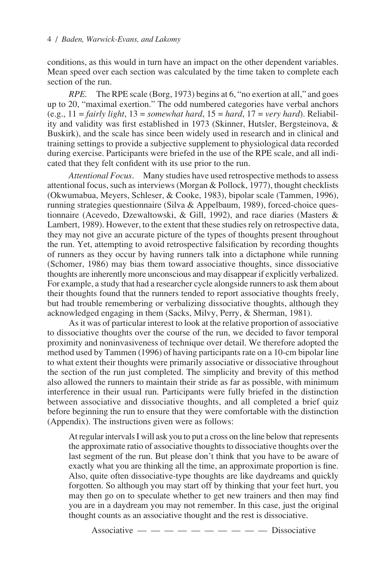conditions, as this would in turn have an impact on the other dependent variables. Mean speed over each section was calculated by the time taken to complete each section of the run.

*RPE.* The RPE scale (Borg, 1973) begins at 6, "no exertion at all," and goes up to 20, "maximal exertion." The odd numbered categories have verbal anchors  $(e.g., 11 = fairly light, 13 = somewhat hard, 15 = hard, 17 = very hard).$  Reliability and validity was first established in 1973 (Skinner, Hutsler, Bergsteinova, & Buskirk), and the scale has since been widely used in research and in clinical and training settings to provide a subjective supplement to physiological data recorded during exercise. Participants were briefed in the use of the RPE scale, and all indicated that they felt confident with its use prior to the run.

*Attentional Focus*. Many studies have used retrospective methods to assess attentional focus, such as interviews (Morgan & Pollock, 1977), thought checklists (Okwumabua, Meyers, Schleser, & Cooke, 1983), bipolar scale (Tammen, 1996), running strategies questionnaire (Silva & Appelbaum, 1989), forced-choice questionnaire (Acevedo, Dzewaltowski, & Gill, 1992), and race diaries (Masters & Lambert, 1989). However, to the extent that these studies rely on retrospective data, they may not give an accurate picture of the types of thoughts present throughout the run. Yet, attempting to avoid retrospective falsification by recording thoughts of runners as they occur by having runners talk into a dictaphone while running (Schomer, 1986) may bias them toward associative thoughts, since dissociative thoughts are inherently more unconscious and may disappear if explicitly verbalized. For example, a study that had a researcher cycle alongside runners to ask them about their thoughts found that the runners tended to report associative thoughts freely, but had trouble remembering or verbalizing dissociative thoughts, although they acknowledged engaging in them (Sacks, Milvy, Perry, & Sherman, 1981).

As it was of particular interest to look at the relative proportion of associative to dissociative thoughts over the course of the run, we decided to favor temporal proximity and noninvasiveness of technique over detail. We therefore adopted the method used by Tammen (1996) of having participants rate on a 10-cm bipolar line to what extent their thoughts were primarily associative or dissociative throughout the section of the run just completed. The simplicity and brevity of this method also allowed the runners to maintain their stride as far as possible, with minimum interference in their usual run. Participants were fully briefed in the distinction between associative and dissociative thoughts, and all completed a brief quiz before beginning the run to ensure that they were comfortable with the distinction (Appendix). The instructions given were as follows:

At regular intervals I will ask you to put a cross on the line below that represents the approximate ratio of associative thoughts to dissociative thoughts over the last segment of the run. But please don't think that you have to be aware of exactly what you are thinking all the time, an approximate proportion is fine. Also, quite often dissociative-type thoughts are like daydreams and quickly forgotten. So although you may start off by thinking that your feet hurt, you may then go on to speculate whether to get new trainers and then may find you are in a daydream you may not remember. In this case, just the original thought counts as an associative thought and the rest is dissociative.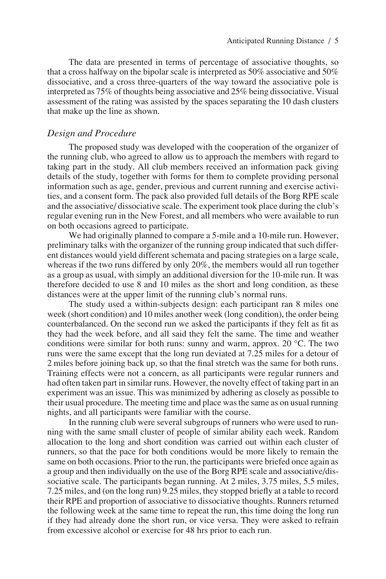The data are presented in terms of percentage of associative thoughts, so that a cross halfway on the bipolar scale is interpreted as 50% associative and 50% dissociative, and a cross three-quarters of the way toward the associative pole is interpreted as 75% of thoughts being associative and 25% being dissociative. Visual assessment of the rating was assisted by the spaces separating the 10 dash clusters that make up the line as shown.

### *Design and Procedure*

The proposed study was developed with the cooperation of the organizer of the running club, who agreed to allow us to approach the members with regard to taking part in the study. All club members received an information pack giving details of the study, together with forms for them to complete providing personal information such as age, gender, previous and current running and exercise activities, and a consent form. The pack also provided full details of the Borg RPE scale and the associative/ dissociative scale. The experiment took place during the club's regular evening run in the New Forest, and all members who were available to run on both occasions agreed to participate.

We had originally planned to compare a 5-mile and a 10-mile run. However, preliminary talks with the organizer of the running group indicated that such different distances would yield different schemata and pacing strategies on a large scale, whereas if the two runs differed by only 20%, the members would all run together as a group as usual, with simply an additional diversion for the 10-mile run. It was therefore decided to use 8 and 10 miles as the short and long condition, as these distances were at the upper limit of the running club's normal runs.

The study used a within-subjects design: each participant ran 8 miles one week (short condition) and 10 miles another week (long condition), the order being counterbalanced. On the second run we asked the participants if they felt as fit as they had the week before, and all said they felt the same. The time and weather conditions were similar for both runs: sunny and warm, approx. 20  $^{\circ}$ C. The two runs were the same except that the long run deviated at 7.25 miles for a detour of 2 miles before joining back up, so that the final stretch was the same for both runs. Training effects were not a concern, as all participants were regular runners and had often taken part in similar runs. However, the novelty effect of taking part in an experiment was an issue. This was minimized by adhering as closely as possible to their usual procedure. The meeting time and place was the same as on usual running nights, and all participants were familiar with the course.

In the running club were several subgroups of runners who were used to running with the same small cluster of people of similar ability each week. Random allocation to the long and short condition was carried out within each cluster of runners, so that the pace for both conditions would be more likely to remain the same on both occasions. Prior to the run, the participants were briefed once again as a group and then individually on the use of the Borg RPE scale and associative/dissociative scale. The participants began running. At 2 miles, 3.75 miles, 5.5 miles, 7.25 miles, and (on the long run) 9.25 miles, they stopped briefly at a table to record their RPE and proportion of associative to dissociative thoughts. Runners returned the following week at the same time to repeat the run, this time doing the long run if they had already done the short run, or vice versa. They were asked to refrain from excessive alcohol or exercise for 48 hrs prior to each run.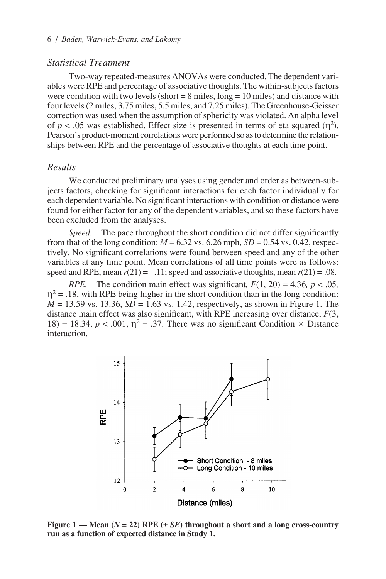#### 6 / *Baden, Warwick-Evans, and Lakomy*

### *Statistical Treatment*

Two-way repeated-measures ANOVAs were conducted. The dependent variables were RPE and percentage of associative thoughts. The within-subjects factors were condition with two levels (short  $= 8$  miles, long  $= 10$  miles) and distance with four levels (2 miles, 3.75 miles, 5.5 miles, and 7.25 miles). The Greenhouse-Geisser correction was used when the assumption of sphericity was violated. An alpha level of  $p < .05$  was established. Effect size is presented in terms of eta squared ( $\eta^2$ ). Pearson's product-moment correlations were performed so as to determine the relationships between RPE and the percentage of associative thoughts at each time point.

#### *Results*

We conducted preliminary analyses using gender and order as between-subjects factors, checking for significant interactions for each factor individually for each dependent variable. No significant interactions with condition or distance were found for either factor for any of the dependent variables, and so these factors have been excluded from the analyses.

*Speed.* The pace throughout the short condition did not differ significantly from that of the long condition:  $M = 6.32$  vs.  $6.26$  mph,  $SD = 0.54$  vs.  $0.42$ , respectively. No significant correlations were found between speed and any of the other variables at any time point. Mean correlations of all time points were as follows: speed and RPE, mean  $r(21) = -0.11$ ; speed and associative thoughts, mean  $r(21) = 0.08$ .

*RPE.* The condition main effect was significant,  $F(1, 20) = 4.36$ ,  $p < .05$ ,  $\eta^2$  = .18, with RPE being higher in the short condition than in the long condition:  $M = 13.59$  vs. 13.36,  $SD = 1.63$  vs. 1.42, respectively, as shown in Figure 1. The distance main effect was also significant, with RPE increasing over distance, *F*(3, 18) = 18.34,  $p < .001$ ,  $\eta^2 = .37$ . There was no significant Condition  $\times$  Distance interaction.



**Figure 1 — Mean**  $(N = 22)$  RPE  $(\pm SE)$  throughout a short and a long cross-country **run as a function of expected distance in Study 1.**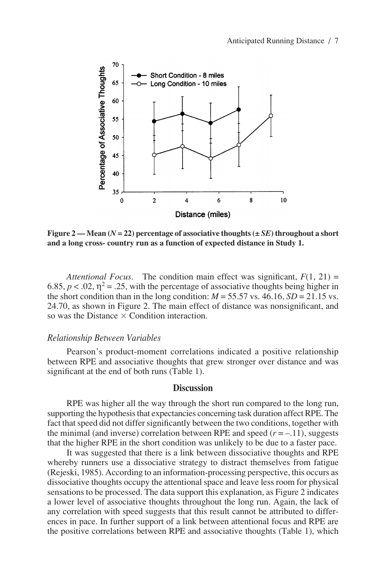

**Figure 2**—Mean ( $N = 22$ ) percentage of associative thoughts ( $\pm SE$ ) throughout a short **and a long cross- country run as a function of expected distance in Study 1.**

*Attentional Focus.* The condition main effect was significant,  $F(1, 21) =$ 6.85,  $p < 0.02$ ,  $\eta^2 = 0.25$ , with the percentage of associative thoughts being higher in the short condition than in the long condition:  $M = 55.57$  vs.  $46.16$ ,  $SD = 21.15$  vs. 24.70, as shown in Figure 2. The main effect of distance was nonsignificant, and so was the Distance  $\times$  Condition interaction.

### *Relationship Between Variables*

Pearson's product-moment correlations indicated a positive relationship between RPE and associative thoughts that grew stronger over distance and was significant at the end of both runs (Table 1).

### **Discussion**

RPE was higher all the way through the short run compared to the long run, supporting the hypothesis that expectancies concerning task duration affect RPE. The fact that speed did not differ significantly between the two conditions, together with the minimal (and inverse) correlation between RPE and speed  $(r = -11)$ , suggests that the higher RPE in the short condition was unlikely to be due to a faster pace.

It was suggested that there is a link between dissociative thoughts and RPE whereby runners use a dissociative strategy to distract themselves from fatigue (Rejeski, 1985). According to an information-processing perspective, this occurs as dissociative thoughts occupy the attentional space and leave less room for physical sensations to be processed. The data support this explanation, as Figure 2 indicates a lower level of associative thoughts throughout the long run. Again, the lack of any correlation with speed suggests that this result cannot be attributed to differences in pace. In further support of a link between attentional focus and RPE are the positive correlations between RPE and associative thoughts (Table 1), which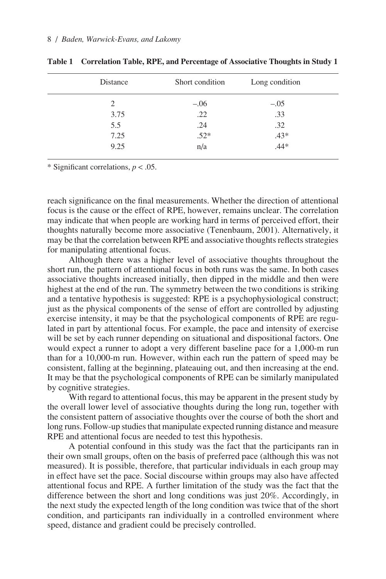| Short condition | Long condition |
|-----------------|----------------|
| $-.06$          | $-.05$         |
| .22             | .33            |
| .24             | .32            |
| $.52*$          | $.43*$         |
| n/a             | $.44*$         |
|                 |                |

**Table 1 Correlation Table, RPE, and Percentage of Associative Thoughts in Study 1**

\* Significant correlations, *p* < .05.

reach significance on the final measurements. Whether the direction of attentional focus is the cause or the effect of RPE, however, remains unclear. The correlation may indicate that when people are working hard in terms of perceived effort, their thoughts naturally become more associative (Tenenbaum, 2001). Alternatively, it may be that the correlation between RPE and associative thoughts reflects strategies for manipulating attentional focus.

Although there was a higher level of associative thoughts throughout the short run, the pattern of attentional focus in both runs was the same. In both cases associative thoughts increased initially, then dipped in the middle and then were highest at the end of the run. The symmetry between the two conditions is striking and a tentative hypothesis is suggested: RPE is a psychophysiological construct; just as the physical components of the sense of effort are controlled by adjusting exercise intensity, it may be that the psychological components of RPE are regulated in part by attentional focus. For example, the pace and intensity of exercise will be set by each runner depending on situational and dispositional factors. One would expect a runner to adopt a very different baseline pace for a 1,000-m run than for a 10,000-m run. However, within each run the pattern of speed may be consistent, falling at the beginning, plateauing out, and then increasing at the end. It may be that the psychological components of RPE can be similarly manipulated by cognitive strategies.

With regard to attentional focus, this may be apparent in the present study by the overall lower level of associative thoughts during the long run, together with the consistent pattern of associative thoughts over the course of both the short and long runs. Follow-up studies that manipulate expected running distance and measure RPE and attentional focus are needed to test this hypothesis.

A potential confound in this study was the fact that the participants ran in their own small groups, often on the basis of preferred pace (although this was not measured). It is possible, therefore, that particular individuals in each group may in effect have set the pace. Social discourse within groups may also have affected attentional focus and RPE. A further limitation of the study was the fact that the difference between the short and long conditions was just 20%. Accordingly, in the next study the expected length of the long condition was twice that of the short condition, and participants ran individually in a controlled environment where speed, distance and gradient could be precisely controlled.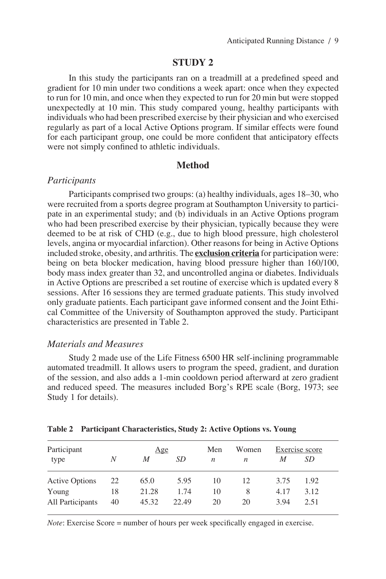### **STUDY 2**

In this study the participants ran on a treadmill at a predefined speed and gradient for 10 min under two conditions a week apart: once when they expected to run for 10 min, and once when they expected to run for 20 min but were stopped unexpectedly at 10 min. This study compared young, healthy participants with individuals who had been prescribed exercise by their physician and who exercised regularly as part of a local Active Options program. If similar effects were found for each participant group, one could be more confident that anticipatory effects were not simply confined to athletic individuals.

#### **Method**

### *Participants*

Participants comprised two groups: (a) healthy individuals, ages 18–30, who were recruited from a sports degree program at Southampton University to participate in an experimental study; and (b) individuals in an Active Options program who had been prescribed exercise by their physician, typically because they were deemed to be at risk of CHD (e.g., due to high blood pressure, high cholesterol levels, angina or myocardial infarction). Other reasons for being in Active Options included stroke, obesity, and arthritis. The **exclusion criteria** for participation were: being on beta blocker medication, having blood pressure higher than 160/100, body mass index greater than 32, and uncontrolled angina or diabetes. Individuals in Active Options are prescribed a set routine of exercise which is updated every 8 sessions. After 16 sessions they are termed graduate patients. This study involved only graduate patients. Each participant gave informed consent and the Joint Ethical Committee of the University of Southampton approved the study. Participant characteristics are presented in Table 2.

### *Materials and Measures*

Study 2 made use of the Life Fitness 6500 HR self-inclining programmable automated treadmill. It allows users to program the speed, gradient, and duration of the session, and also adds a 1-min cooldown period afterward at zero gradient and reduced speed. The measures included Borg's RPE scale (Borg, 1973; see Study 1 for details).

| Participant<br>type   | N  | Age<br>M | SD.   | Men<br>n | Women<br>n | M    | Exercise score<br>SD |
|-----------------------|----|----------|-------|----------|------------|------|----------------------|
| <b>Active Options</b> | 22 | 65.0     | 5.95  | 10       | 12         | 3.75 | 1.92                 |
| Young                 | 18 | 21.28    | 1.74  | 10       | 8          | 4.17 | 3.12                 |
| All Participants      | 40 | 45.32    | 22.49 | 20       | 20         | 3.94 | 2.51                 |

#### **Table 2 Participant Characteristics, Study 2: Active Options vs. Young**

*Note*: Exercise Score = number of hours per week specifically engaged in exercise.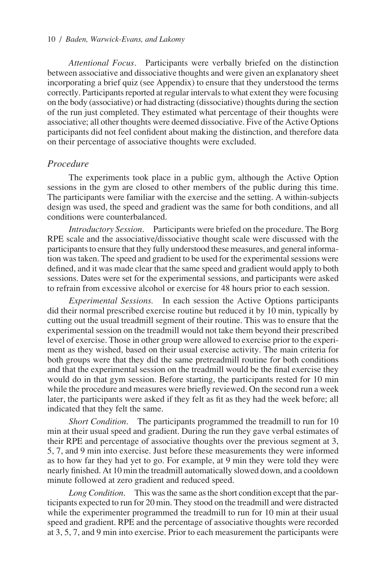*Attentional Focus*. Participants were verbally briefed on the distinction between associative and dissociative thoughts and were given an explanatory sheet incorporating a brief quiz (see Appendix) to ensure that they understood the terms correctly. Participants reported at regular intervals to what extent they were focusing on the body (associative) or had distracting (dissociative) thoughts during the section of the run just completed. They estimated what percentage of their thoughts were associative; all other thoughts were deemed dissociative. Five of the Active Options participants did not feel confident about making the distinction, and therefore data on their percentage of associative thoughts were excluded.

### *Procedure*

The experiments took place in a public gym, although the Active Option sessions in the gym are closed to other members of the public during this time. The participants were familiar with the exercise and the setting. A within-subjects design was used, the speed and gradient was the same for both conditions, and all conditions were counterbalanced.

*Introductory Session*. Participants were briefed on the procedure. The Borg RPE scale and the associative/dissociative thought scale were discussed with the participants to ensure that they fully understood these measures, and general information was taken. The speed and gradient to be used for the experimental sessions were defined, and it was made clear that the same speed and gradient would apply to both sessions. Dates were set for the experimental sessions, and participants were asked to refrain from excessive alcohol or exercise for 48 hours prior to each session.

*Experimental Sessions.* In each session the Active Options participants did their normal prescribed exercise routine but reduced it by 10 min, typically by cutting out the usual treadmill segment of their routine. This was to ensure that the experimental session on the treadmill would not take them beyond their prescribed level of exercise. Those in other group were allowed to exercise prior to the experiment as they wished, based on their usual exercise activity. The main criteria for both groups were that they did the same pretreadmill routine for both conditions and that the experimental session on the treadmill would be the final exercise they would do in that gym session. Before starting, the participants rested for 10 min while the procedure and measures were briefly reviewed. On the second run a week later, the participants were asked if they felt as fit as they had the week before; all indicated that they felt the same.

*Short Condition*. The participants programmed the treadmill to run for 10 min at their usual speed and gradient. During the run they gave verbal estimates of their RPE and percentage of associative thoughts over the previous segment at 3, 5, 7, and 9 min into exercise. Just before these measurements they were informed as to how far they had yet to go. For example, at 9 min they were told they were nearly finished. At 10 min the treadmill automatically slowed down, and a cooldown minute followed at zero gradient and reduced speed.

*Long Condition*. This was the same as the short condition except that the participants expected to run for 20 min. They stood on the treadmill and were distracted while the experimenter programmed the treadmill to run for 10 min at their usual speed and gradient. RPE and the percentage of associative thoughts were recorded at 3, 5, 7, and 9 min into exercise. Prior to each measurement the participants were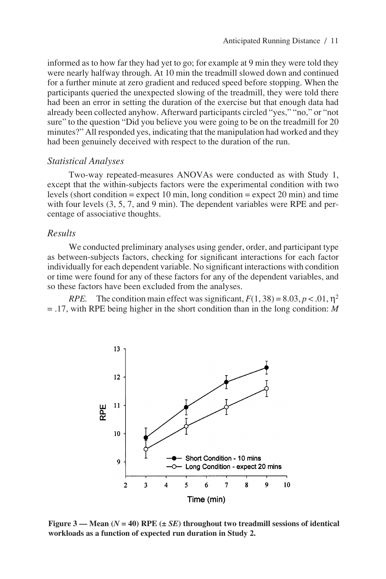informed as to how far they had yet to go; for example at 9 min they were told they were nearly halfway through. At 10 min the treadmill slowed down and continued for a further minute at zero gradient and reduced speed before stopping. When the participants queried the unexpected slowing of the treadmill, they were told there had been an error in setting the duration of the exercise but that enough data had already been collected anyhow. Afterward participants circled "yes," "no," or "not sure" to the question "Did you believe you were going to be on the treadmill for 20 minutes?" All responded yes, indicating that the manipulation had worked and they had been genuinely deceived with respect to the duration of the run.

## *Statistical Analyses*

Two-way repeated-measures ANOVAs were conducted as with Study 1, except that the within-subjects factors were the experimental condition with two levels (short condition = expect 10 min, long condition = expect 20 min) and time with four levels (3, 5, 7, and 9 min). The dependent variables were RPE and percentage of associative thoughts.

### *Results*

We conducted preliminary analyses using gender, order, and participant type as between-subjects factors, checking for significant interactions for each factor individually for each dependent variable. No significant interactions with condition or time were found for any of these factors for any of the dependent variables, and so these factors have been excluded from the analyses.

*RPE.* The condition main effect was significant,  $F(1, 38) = 8.03$ ,  $p < .01$ ,  $\eta^2$ = .17, with RPE being higher in the short condition than in the long condition: *M*



Figure  $3$  — Mean  $(N = 40)$  RPE  $(\pm SE)$  throughout two treadmill sessions of identical **workloads as a function of expected run duration in Study 2.**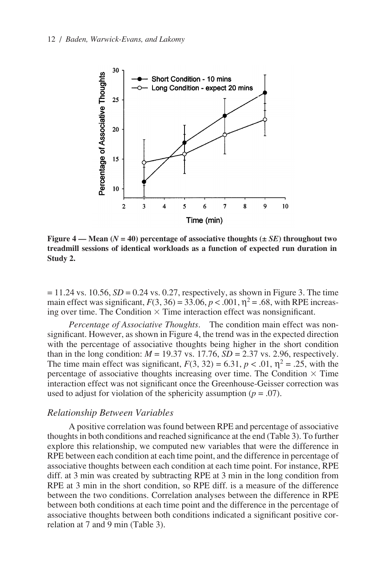

**Figure 4 — Mean**  $(N = 40)$  percentage of associative thoughts  $(\pm SE)$  throughout two **treadmill sessions of identical workloads as a function of expected run duration in Study 2.**

 $= 11.24$  vs.  $10.56$ ,  $SD = 0.24$  vs. 0.27, respectively, as shown in Figure 3. The time main effect was significant,  $F(3, 36) = 33.06$ ,  $p < .001$ ,  $n^2 = .68$ , with RPE increasing over time. The Condition  $\times$  Time interaction effect was nonsignificant.

*Percentage of Associative Thoughts*. The condition main effect was nonsignificant. However, as shown in Figure 4, the trend was in the expected direction with the percentage of associative thoughts being higher in the short condition than in the long condition:  $M = 19.37$  vs.  $17.76$ ,  $SD = 2.37$  vs. 2.96, respectively. The time main effect was significant,  $F(3, 32) = 6.31$ ,  $p < .01$ ,  $\eta^2 = .25$ , with the percentage of associative thoughts increasing over time. The Condition  $\times$  Time interaction effect was not significant once the Greenhouse-Geisser correction was used to adjust for violation of the sphericity assumption  $(p = .07)$ .

#### *Relationship Between Variables*

A positive correlation was found between RPE and percentage of associative thoughts in both conditions and reached significance at the end (Table 3). To further explore this relationship, we computed new variables that were the difference in RPE between each condition at each time point, and the difference in percentage of associative thoughts between each condition at each time point. For instance, RPE diff. at 3 min was created by subtracting RPE at 3 min in the long condition from RPE at 3 min in the short condition, so RPE diff. is a measure of the difference between the two conditions. Correlation analyses between the difference in RPE between both conditions at each time point and the difference in the percentage of associative thoughts between both conditions indicated a significant positive correlation at 7 and 9 min (Table 3).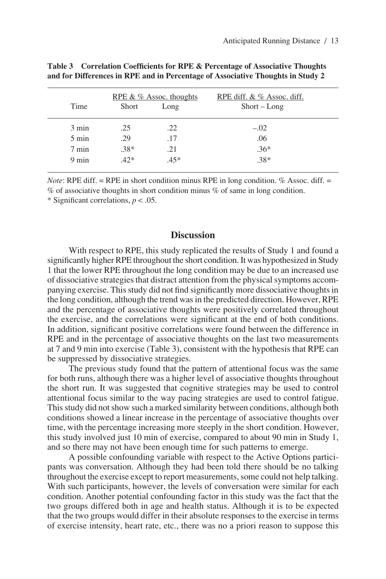| Time            | Short  | RPE & $%$ Assoc. thoughts<br>Long | RPE diff. & % Assoc. diff.<br>$Short - Long$ |
|-----------------|--------|-----------------------------------|----------------------------------------------|
| $3 \text{ min}$ | .25    | .22                               | $-.02$                                       |
| $5 \text{ min}$ | .29    | .17                               | .06                                          |
| $7 \text{ min}$ | $.38*$ | .21                               | $.36*$                                       |
| $9 \text{ min}$ | $42*$  | $.45*$                            | $.38*$                                       |

**Table 3 Correlation Coefficients for RPE & Percentage of Associative Thoughts and for Differences in RPE and in Percentage of Associative Thoughts in Study 2**

*Note*: RPE diff. = RPE in short condition minus RPE in long condition. % Assoc. diff. = % of associative thoughts in short condition minus % of same in long condition. \* Significant correlations, *p* < .05.

### **Discussion**

With respect to RPE, this study replicated the results of Study 1 and found a significantly higher RPE throughout the short condition. It was hypothesized in Study 1 that the lower RPE throughout the long condition may be due to an increased use of dissociative strategies that distract attention from the physical symptoms accompanying exercise. This study did not find significantly more dissociative thoughts in the long condition, although the trend was in the predicted direction. However, RPE and the percentage of associative thoughts were positively correlated throughout the exercise, and the correlations were significant at the end of both conditions. In addition, significant positive correlations were found between the difference in RPE and in the percentage of associative thoughts on the last two measurements at 7 and 9 min into exercise (Table 3), consistent with the hypothesis that RPE can be suppressed by dissociative strategies.

The previous study found that the pattern of attentional focus was the same for both runs, although there was a higher level of associative thoughts throughout the short run. It was suggested that cognitive strategies may be used to control attentional focus similar to the way pacing strategies are used to control fatigue. This study did not show such a marked similarity between conditions, although both conditions showed a linear increase in the percentage of associative thoughts over time, with the percentage increasing more steeply in the short condition. However, this study involved just 10 min of exercise, compared to about 90 min in Study 1, and so there may not have been enough time for such patterns to emerge.

A possible confounding variable with respect to the Active Options participants was conversation. Although they had been told there should be no talking throughout the exercise except to report measurements, some could not help talking. With such participants, however, the levels of conversation were similar for each condition. Another potential confounding factor in this study was the fact that the two groups differed both in age and health status. Although it is to be expected that the two groups would differ in their absolute responses to the exercise in terms of exercise intensity, heart rate, etc., there was no a priori reason to suppose this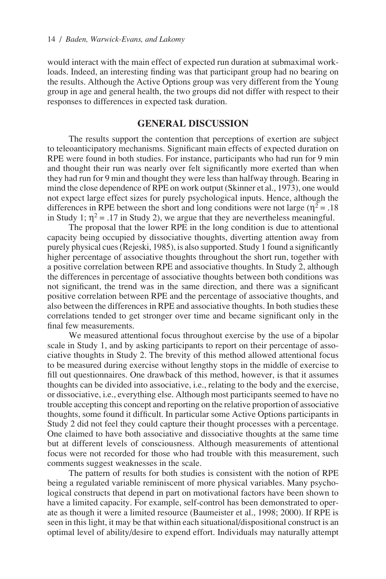would interact with the main effect of expected run duration at submaximal workloads. Indeed, an interesting finding was that participant group had no bearing on the results. Although the Active Options group was very different from the Young group in age and general health, the two groups did not differ with respect to their responses to differences in expected task duration.

## **GENERAL DISCUSSION**

The results support the contention that perceptions of exertion are subject to teleoanticipatory mechanisms. Significant main effects of expected duration on RPE were found in both studies. For instance, participants who had run for 9 min and thought their run was nearly over felt significantly more exerted than when they had run for 9 min and thought they were less than halfway through. Bearing in mind the close dependence of RPE on work output (Skinner et al., 1973), one would not expect large effect sizes for purely psychological inputs. Hence, although the differences in RPE between the short and long conditions were not large ( $\eta^2$  = .18) in Study 1;  $\eta^2 = .17$  in Study 2), we argue that they are nevertheless meaningful.

The proposal that the lower RPE in the long condition is due to attentional capacity being occupied by dissociative thoughts, diverting attention away from purely physical cues (Rejeski, 1985), is also supported. Study 1 found a significantly higher percentage of associative thoughts throughout the short run, together with a positive correlation between RPE and associative thoughts. In Study 2, although the differences in percentage of associative thoughts between both conditions was not significant, the trend was in the same direction, and there was a significant positive correlation between RPE and the percentage of associative thoughts, and also between the differences in RPE and associative thoughts. In both studies these correlations tended to get stronger over time and became significant only in the final few measurements.

We measured attentional focus throughout exercise by the use of a bipolar scale in Study 1, and by asking participants to report on their percentage of associative thoughts in Study 2. The brevity of this method allowed attentional focus to be measured during exercise without lengthy stops in the middle of exercise to fill out questionnaires. One drawback of this method, however, is that it assumes thoughts can be divided into associative, i.e., relating to the body and the exercise, or dissociative, i.e., everything else. Although most participants seemed to have no trouble accepting this concept and reporting on the relative proportion of associative thoughts, some found it difficult. In particular some Active Options participants in Study 2 did not feel they could capture their thought processes with a percentage. One claimed to have both associative and dissociative thoughts at the same time but at different levels of consciousness. Although measurements of attentional focus were not recorded for those who had trouble with this measurement, such comments suggest weaknesses in the scale.

The pattern of results for both studies is consistent with the notion of RPE being a regulated variable reminiscent of more physical variables. Many psychological constructs that depend in part on motivational factors have been shown to have a limited capacity. For example, self-control has been demonstrated to operate as though it were a limited resource (Baumeister et al., 1998; 2000). If RPE is seen in this light, it may be that within each situational/dispositional construct is an optimal level of ability/desire to expend effort. Individuals may naturally attempt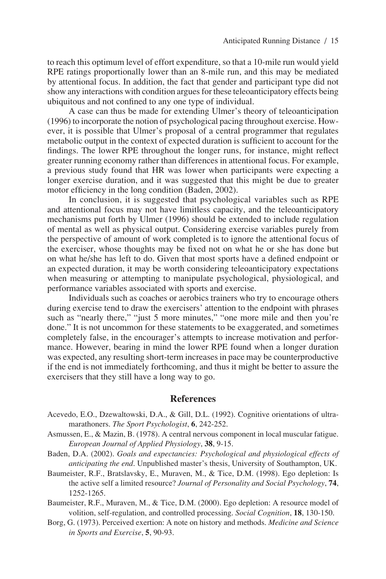to reach this optimum level of effort expenditure, so that a 10-mile run would yield RPE ratings proportionally lower than an 8-mile run, and this may be mediated by attentional focus. In addition, the fact that gender and participant type did not show any interactions with condition argues for these teleoanticipatory effects being ubiquitous and not confined to any one type of individual.

A case can thus be made for extending Ulmer's theory of teleoanticipation (1996) to incorporate the notion of psychological pacing throughout exercise. However, it is possible that Ulmer's proposal of a central programmer that regulates metabolic output in the context of expected duration is sufficient to account for the findings. The lower RPE throughout the longer runs, for instance, might reflect greater running economy rather than differences in attentional focus. For example, a previous study found that HR was lower when participants were expecting a longer exercise duration, and it was suggested that this might be due to greater motor efficiency in the long condition (Baden, 2002).

In conclusion, it is suggested that psychological variables such as RPE and attentional focus may not have limitless capacity, and the teleoanticipatory mechanisms put forth by Ulmer (1996) should be extended to include regulation of mental as well as physical output. Considering exercise variables purely from the perspective of amount of work completed is to ignore the attentional focus of the exerciser, whose thoughts may be fixed not on what he or she has done but on what he/she has left to do. Given that most sports have a defined endpoint or an expected duration, it may be worth considering teleoanticipatory expectations when measuring or attempting to manipulate psychological, physiological, and performance variables associated with sports and exercise.

Individuals such as coaches or aerobics trainers who try to encourage others during exercise tend to draw the exercisers' attention to the endpoint with phrases such as "nearly there," "just 5 more minutes," "one more mile and then you're done." It is not uncommon for these statements to be exaggerated, and sometimes completely false, in the encourager's attempts to increase motivation and performance. However, bearing in mind the lower RPE found when a longer duration was expected, any resulting short-term increases in pace may be counterproductive if the end is not immediately forthcoming, and thus it might be better to assure the exercisers that they still have a long way to go.

#### **References**

- Acevedo, E.O., Dzewaltowski, D.A., & Gill, D.L. (1992). Cognitive orientations of ultramarathoners. *The Sport Psychologist*, **6**, 242-252.
- Asmussen, E., & Mazin, B. (1978). A central nervous component in local muscular fatigue. *European Journal of Applied Physiology*, **38**, 9-15.
- Baden, D.A. (2002). *Goals and expectancies: Psychological and physiological effects of anticipating the end*. Unpublished master's thesis, University of Southampton, UK.
- Baumeister, R.F., Bratslavsky, E., Muraven, M., & Tice, D.M. (1998). Ego depletion: Is the active self a limited resource? *Journal of Personality and Social Psychology*, **74**, 1252-1265.
- Baumeister, R.F., Muraven, M., & Tice, D.M. (2000). Ego depletion: A resource model of volition, self-regulation, and controlled processing. *Social Cognition*, **18**, 130-150.
- Borg, G. (1973). Perceived exertion: A note on history and methods. *Medicine and Science in Sports and Exercise*, **5**, 90-93.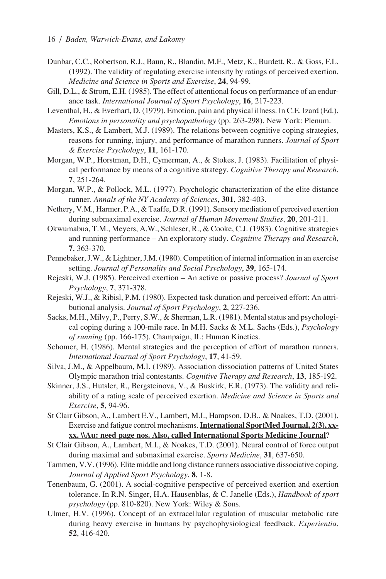- Dunbar, C.C., Robertson, R.J., Baun, R., Blandin, M.F., Metz, K., Burdett, R., & Goss, F.L. (1992). The validity of regulating exercise intensity by ratings of perceived exertion. *Medicine and Science in Sports and Exercise*, **24**, 94-99.
- Gill, D.L., & Strom, E.H. (1985). The effect of attentional focus on performance of an endurance task. *International Journal of Sport Psychology*, **16**, 217-223.
- Leventhal, H., & Everhart, D. (1979). Emotion, pain and physical illness. In C.E. Izard (Ed.), *Emotions in personality and psychopathology* (pp. 263-298). New York: Plenum.
- Masters, K.S., & Lambert, M.J. (1989). The relations between cognitive coping strategies, reasons for running, injury, and performance of marathon runners. *Journal of Sport & Exercise Psychology*, **11**, 161-170.
- Morgan, W.P., Horstman, D.H., Cymerman, A., & Stokes, J. (1983). Facilitation of physical performance by means of a cognitive strategy. *Cognitive Therapy and Research*, **7**, 251-264.
- Morgan, W.P., & Pollock, M.L. (1977). Psychologic characterization of the elite distance runner. *Annals of the NY Academy of Sciences*, **301**, 382-403.
- Nethery, V.M., Harmer, P.A., & Taaffe, D.R. (1991). Sensory mediation of perceived exertion during submaximal exercise. *Journal of Human Movement Studies*, **20**, 201-211.
- Okwumabua, T.M., Meyers, A.W., Schleser, R., & Cooke, C.J. (1983). Cognitive strategies and running performance – An exploratory study. *Cognitive Therapy and Research*, **7**, 363-370.
- Pennebaker, J.W., & Lightner, J.M. (1980). Competition of internal information in an exercise setting. *Journal of Personality and Social Psychology*, **39**, 165-174.
- Rejeski, W.J. (1985). Perceived exertion An active or passive process? *Journal of Sport Psychology*, **7**, 371-378.
- Rejeski, W.J., & Ribisl, P.M. (1980). Expected task duration and perceived effort: An attributional analysis. *Journal of Sport Psychology*, **2**, 227-236.
- Sacks, M.H., Milvy, P., Perry, S.W., & Sherman, L.R. (1981). Mental status and psychological coping during a 100-mile race. In M.H. Sacks & M.L. Sachs (Eds.), *Psychology of running* (pp. 166-175). Champaign, IL: Human Kinetics.
- Schomer, H. (1986). Mental strategies and the perception of effort of marathon runners. *International Journal of Sport Psychology*, **17**, 41-59.
- Silva, J.M., & Appelbaum, M.I. (1989). Association dissociation patterns of United States Olympic marathon trial contestants. *Cognitive Therapy and Research*, **13**, 185-192.
- Skinner, J.S., Hutsler, R., Bergsteinova, V., & Buskirk, E.R. (1973). The validity and reliability of a rating scale of perceived exertion. *Medicine and Science in Sports and Exercise*, **5**, 94-96.
- St Clair Gibson, A., Lambert E.V., Lambert, M.I., Hampson, D.B., & Noakes, T.D. (2001). Exercise and fatigue control mechanisms. **International SportMed Journal, 2(3), xxxx. \\Au: need page nos. Also, called International Sports Medicine Journal**?
- St Clair Gibson, A., Lambert, M.I., & Noakes, T.D. (2001). Neural control of force output during maximal and submaximal exercise. *Sports Medicine*, **31**, 637-650.
- Tammen, V.V. (1996). Elite middle and long distance runners associative dissociative coping. *Journal of Applied Sport Psychology*, **8**, 1-8.
- Tenenbaum, G. (2001). A social-cognitive perspective of perceived exertion and exertion tolerance. In R.N. Singer, H.A. Hausenblas, & C. Janelle (Eds.), *Handbook of sport psychology* (pp. 810-820). New York: Wiley & Sons.
- Ulmer, H.V. (1996). Concept of an extracellular regulation of muscular metabolic rate during heavy exercise in humans by psychophysiological feedback. *Experientia*, **52**, 416-420.